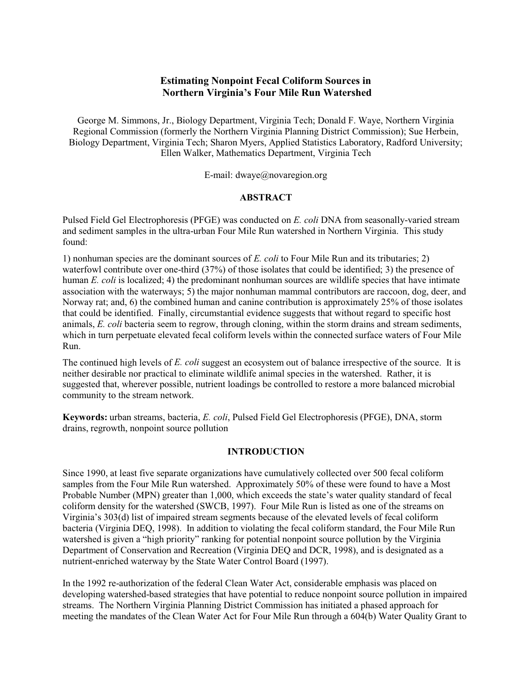## **Estimating Nonpoint Fecal Coliform Sources in** Northern Virginia's Four Mile Run Watershed

George M. Simmons, Jr., Biology Department, Virginia Tech; Donald F. Waye, Northern Virginia Regional Commission (formerly the Northern Virginia Planning District Commission); Sue Herbein, Biology Department, Virginia Tech; Sharon Myers, Applied Statistics Laboratory, Radford University; Ellen Walker, Mathematics Department, Virginia Tech

E-mail: dwaye@novaregion.org

#### **ABSTRACT**

Pulsed Field Gel Electrophoresis (PFGE) was conducted on E. coli DNA from seasonally-varied stream and sediment samples in the ultra-urban Four Mile Run watershed in Northern Virginia. This study found:

1) nonhuman species are the dominant sources of  $E$ . coli to Four Mile Run and its tributaries; 2) waterfowl contribute over one-third (37%) of those isolates that could be identified; 3) the presence of human E. coli is localized; 4) the predominant nonhuman sources are wildlife species that have intimate association with the waterways; 5) the major nonhuman mammal contributors are raccoon, dog, deer, and Norway rat; and, 6) the combined human and canine contribution is approximately 25% of those isolates that could be identified. Finally, circumstantial evidence suggests that without regard to specific host animals, E. coli bacteria seem to regrow, through cloning, within the storm drains and stream sediments, which in turn perpetuate elevated fecal coliform levels within the connected surface waters of Four Mile Run.

The continued high levels of *E. coli* suggest an ecosystem out of balance irrespective of the source. It is neither desirable nor practical to eliminate wildlife animal species in the watershed. Rather, it is suggested that, wherever possible, nutrient loadings be controlled to restore a more balanced microbial community to the stream network.

Keywords: urban streams, bacteria, E. coli, Pulsed Field Gel Electrophoresis (PFGE), DNA, storm drains, regrowth, nonpoint source pollution

## **INTRODUCTION**

Since 1990, at least five separate organizations have cumulatively collected over 500 fecal coliform samples from the Four Mile Run watershed. Approximately 50% of these were found to have a Most Probable Number (MPN) greater than 1,000, which exceeds the state's water quality standard of fecal coliform density for the watershed (SWCB, 1997). Four Mile Run is listed as one of the streams on Virginia's 303(d) list of impaired stream segments because of the elevated levels of fecal coliform bacteria (Virginia DEQ, 1998). In addition to violating the fecal coliform standard, the Four Mile Run watershed is given a "high priority" ranking for potential nonpoint source pollution by the Virginia Department of Conservation and Recreation (Virginia DEQ and DCR, 1998), and is designated as a nutrient-enriched waterway by the State Water Control Board (1997).

In the 1992 re-authorization of the federal Clean Water Act, considerable emphasis was placed on developing watershed-based strategies that have potential to reduce nonpoint source pollution in impaired streams. The Northern Virginia Planning District Commission has initiated a phased approach for meeting the mandates of the Clean Water Act for Four Mile Run through a 604(b) Water Quality Grant to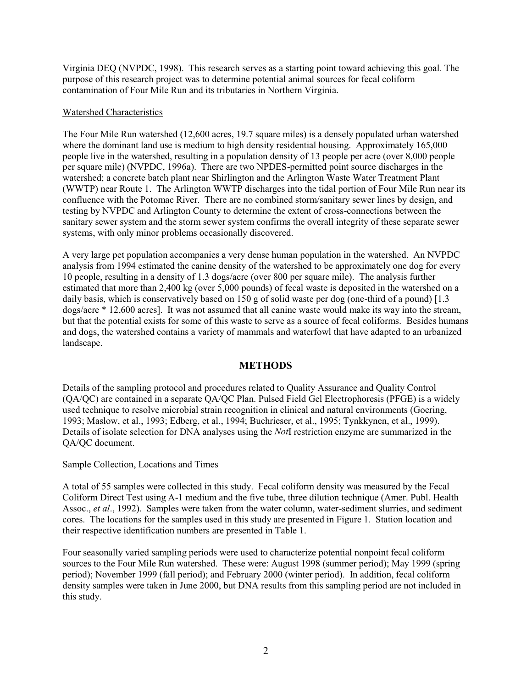Virginia DEO (NVPDC, 1998). This research serves as a starting point toward achieving this goal. The purpose of this research project was to determine potential animal sources for fecal coliform contamination of Four Mile Run and its tributaries in Northern Virginia.

#### Watershed Characteristics

The Four Mile Run watershed (12,600 acres, 19.7 square miles) is a densely populated urban watershed where the dominant land use is medium to high density residential housing. Approximately 165,000 people live in the watershed, resulting in a population density of 13 people per acre (over 8,000 people per square mile) (NVPDC, 1996a). There are two NPDES-permitted point source discharges in the watershed; a concrete batch plant near Shirlington and the Arlington Waste Water Treatment Plant (WWTP) near Route 1. The Arlington WWTP discharges into the tidal portion of Four Mile Run near its confluence with the Potomac River. There are no combined storm/sanitary sewer lines by design, and testing by NVPDC and Arlington County to determine the extent of cross-connections between the sanitary sewer system and the storm sewer system confirms the overall integrity of these separate sewer systems, with only minor problems occasionally discovered.

A very large pet population accompanies a very dense human population in the watershed. An NVPDC analysis from 1994 estimated the canine density of the watershed to be approximately one dog for every 10 people, resulting in a density of 1.3 dogs/acre (over 800 per square mile). The analysis further estimated that more than 2,400 kg (over 5,000 pounds) of fecal waste is deposited in the watershed on a daily basis, which is conservatively based on 150 g of solid waste per dog (one-third of a pound) [1.3] dogs/acre \* 12,600 acres. It was not assumed that all canine waste would make its way into the stream, but that the potential exists for some of this waste to serve as a source of fecal coliforms. Besides humans and dogs, the watershed contains a variety of mammals and waterfowl that have adapted to an urbanized landscape.

## **METHODS**

Details of the sampling protocol and procedures related to Quality Assurance and Quality Control (OA/QC) are contained in a separate QA/QC Plan. Pulsed Field Gel Electrophoresis (PFGE) is a widely used technique to resolve microbial strain recognition in clinical and natural environments (Goering, 1993; Maslow, et al., 1993; Edberg, et al., 1994; Buchrieser, et al., 1995; Tynkkynen, et al., 1999). Details of isolate selection for DNA analyses using the *NotI* restriction enzyme are summarized in the OA/OC document.

#### Sample Collection, Locations and Times

A total of 55 samples were collected in this study. Fecal coliform density was measured by the Fecal Coliform Direct Test using A-1 medium and the five tube, three dilution technique (Amer. Publ. Health Assoc., et al., 1992). Samples were taken from the water column, water-sediment slurries, and sediment cores. The locations for the samples used in this study are presented in Figure 1. Station location and their respective identification numbers are presented in Table 1.

Four seasonally varied sampling periods were used to characterize potential nonpoint fecal coliform sources to the Four Mile Run watershed. These were: August 1998 (summer period); May 1999 (spring period); November 1999 (fall period); and February 2000 (winter period). In addition, fecal coliform density samples were taken in June 2000, but DNA results from this sampling period are not included in this study.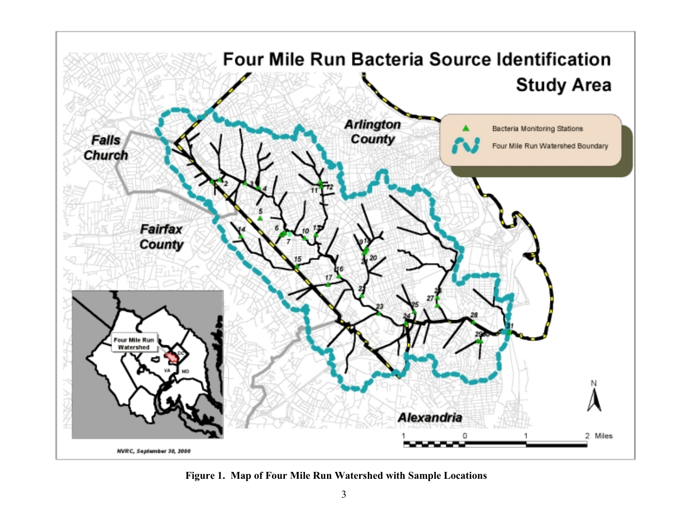

Figure 1. Map of Four Mile Run Watershed with Sample Locations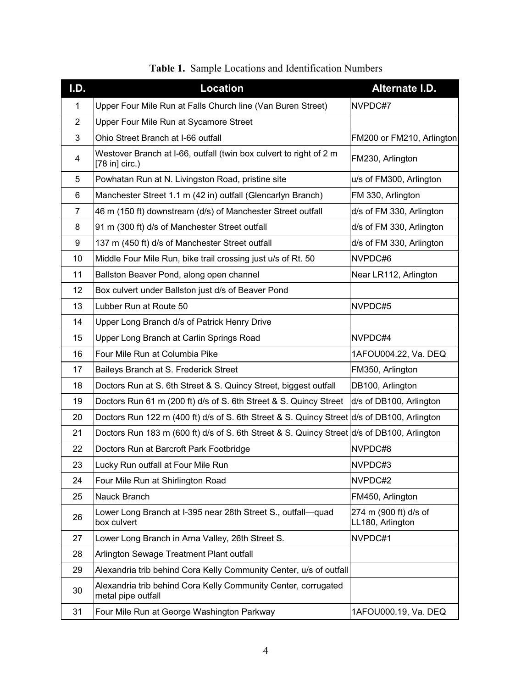| I.D.           | <b>Location</b>                                                                            | Alternate I.D.                            |
|----------------|--------------------------------------------------------------------------------------------|-------------------------------------------|
| 1              | Upper Four Mile Run at Falls Church line (Van Buren Street)                                | NVPDC#7                                   |
| $\overline{2}$ | Upper Four Mile Run at Sycamore Street                                                     |                                           |
| 3              | Ohio Street Branch at I-66 outfall                                                         | FM200 or FM210, Arlington                 |
| 4              | Westover Branch at I-66, outfall (twin box culvert to right of 2 m<br>$[78 in]$ circ.)     | FM230, Arlington                          |
| 5              | Powhatan Run at N. Livingston Road, pristine site                                          | u/s of FM300, Arlington                   |
| 6              | Manchester Street 1.1 m (42 in) outfall (Glencarlyn Branch)                                | FM 330, Arlington                         |
| 7              | 46 m (150 ft) downstream (d/s) of Manchester Street outfall                                | d/s of FM 330, Arlington                  |
| 8              | 91 m (300 ft) d/s of Manchester Street outfall                                             | d/s of FM 330, Arlington                  |
| 9              | 137 m (450 ft) d/s of Manchester Street outfall                                            | d/s of FM 330, Arlington                  |
| 10             | Middle Four Mile Run, bike trail crossing just u/s of Rt. 50                               | NVPDC#6                                   |
| 11             | Ballston Beaver Pond, along open channel                                                   | Near LR112, Arlington                     |
| 12             | Box culvert under Ballston just d/s of Beaver Pond                                         |                                           |
| 13             | Lubber Run at Route 50                                                                     | NVPDC#5                                   |
| 14             | Upper Long Branch d/s of Patrick Henry Drive                                               |                                           |
| 15             | Upper Long Branch at Carlin Springs Road                                                   | NVPDC#4                                   |
| 16             | Four Mile Run at Columbia Pike                                                             | 1AFOU004.22, Va. DEQ                      |
| 17             | Baileys Branch at S. Frederick Street                                                      | FM350, Arlington                          |
| 18             | Doctors Run at S. 6th Street & S. Quincy Street, biggest outfall                           | DB100, Arlington                          |
| 19             | Doctors Run 61 m (200 ft) d/s of S. 6th Street & S. Quincy Street                          | d/s of DB100, Arlington                   |
| 20             | Doctors Run 122 m (400 ft) d/s of S. 6th Street & S. Quincy Street d/s of DB100, Arlington |                                           |
| 21             | Doctors Run 183 m (600 ft) d/s of S. 6th Street & S. Quincy Street d/s of DB100, Arlington |                                           |
| 22             | Doctors Run at Barcroft Park Footbridge                                                    | NVPDC#8                                   |
| 23             | Lucky Run outfall at Four Mile Run                                                         | NVPDC#3                                   |
| 24             | Four Mile Run at Shirlington Road                                                          | NVPDC#2                                   |
| 25             | Nauck Branch                                                                               | FM450, Arlington                          |
| 26             | Lower Long Branch at I-395 near 28th Street S., outfall—quad<br>box culvert                | 274 m (900 ft) d/s of<br>LL180, Arlington |
| 27             | Lower Long Branch in Arna Valley, 26th Street S.                                           | NVPDC#1                                   |
| 28             | Arlington Sewage Treatment Plant outfall                                                   |                                           |
| 29             | Alexandria trib behind Cora Kelly Community Center, u/s of outfall                         |                                           |
| 30             | Alexandria trib behind Cora Kelly Community Center, corrugated<br>metal pipe outfall       |                                           |
| 31             | Four Mile Run at George Washington Parkway                                                 | 1AFOU000.19, Va. DEQ                      |

Table 1. Sample Locations and Identification Numbers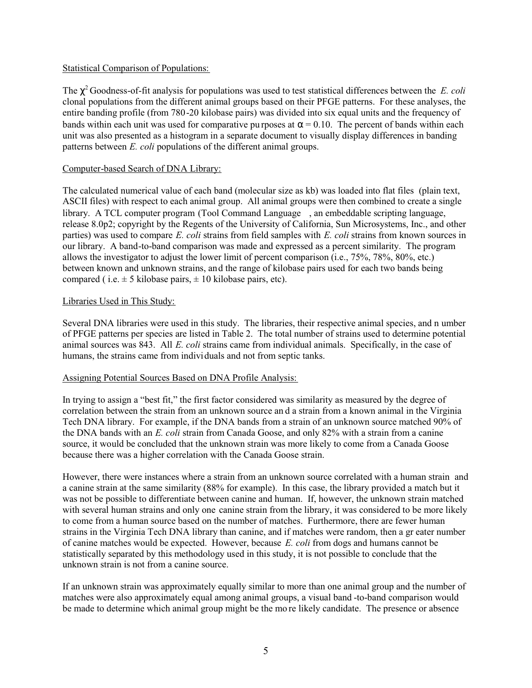#### **Statistical Comparison of Populations:**

The  $\chi^2$  Goodness-of-fit analysis for populations was used to test statistical differences between the E. coli clonal populations from the different animal groups based on their PFGE patterns. For these analyses, the entire banding profile (from 780-20 kilobase pairs) was divided into six equal units and the frequency of bands within each unit was used for comparative purposes at  $\alpha = 0.10$ . The percent of bands within each unit was also presented as a histogram in a separate document to visually display differences in banding patterns between *E. coli* populations of the different animal groups.

#### Computer-based Search of DNA Library:

The calculated numerical value of each band (molecular size as kb) was loaded into flat files (plain text, ASCII files) with respect to each animal group. All animal groups were then combined to create a single library. A TCL computer program (Tool Command Language©, an embeddable scripting language, release 8.0p2; copyright by the Regents of the University of California, Sun Microsystems, Inc., and other parties) was used to compare E, coli strains from field samples with E, coli strains from known sources in our library. A band-to-band comparison was made and expressed as a percent similarity. The program allows the investigator to adjust the lower limit of percent comparison (i.e., 75%, 78%, 80%, etc.) between known and unknown strains, and the range of kilobase pairs used for each two bands being compared (i.e.  $\pm$  5 kilobase pairs,  $\pm$  10 kilobase pairs, etc).

#### Libraries Used in This Study:

Several DNA libraries were used in this study. The libraries, their respective animal species, and n umber of PFGE patterns per species are listed in Table 2. The total number of strains used to determine potential animal sources was 843. All *E. coli* strains came from individual animals. Specifically, in the case of humans, the strains came from individuals and not from septic tanks.

#### Assigning Potential Sources Based on DNA Profile Analysis:

In trying to assign a "best fit," the first factor considered was similarity as measured by the degree of correlation between the strain from an unknown source and a strain from a known animal in the Virginia Tech DNA library. For example, if the DNA bands from a strain of an unknown source matched 90% of the DNA bands with an E. coli strain from Canada Goose, and only 82% with a strain from a canine source, it would be concluded that the unknown strain was more likely to come from a Canada Goose because there was a higher correlation with the Canada Goose strain.

However, there were instances where a strain from an unknown source correlated with a human strain and a canine strain at the same similarity (88% for example). In this case, the library provided a match but it was not be possible to differentiate between canine and human. If, however, the unknown strain matched with several human strains and only one can ne strain from the library, it was considered to be more likely to come from a human source based on the number of matches. Furthermore, there are fewer human strains in the Virginia Tech DNA library than canine, and if matches were random, then a gr eater number of canine matches would be expected. However, because E. coli from dogs and humans cannot be statistically separated by this methodology used in this study, it is not possible to conclude that the unknown strain is not from a canine source.

If an unknown strain was approximately equally similar to more than one animal group and the number of matches were also approximately equal among animal groups, a visual band-to-band comparison would be made to determine which animal group might be the more likely candidate. The presence or absence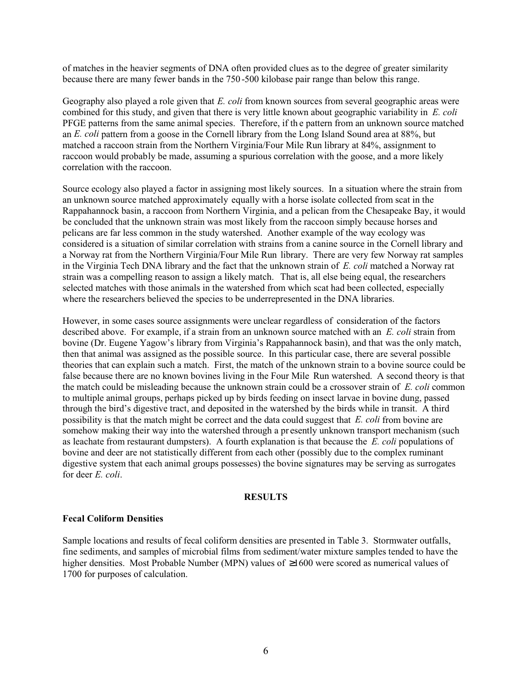of matches in the heavier segments of DNA often provided clues as to the degree of greater similarity because there are many fewer bands in the 750-500 kilobase pair range than below this range.

Geography also played a role given that E. coli from known sources from several geographic areas were combined for this study, and given that there is very little known about geographic variability in E. coli PFGE patterns from the same animal species. Therefore, if the pattern from an unknown source matched an E. coli pattern from a goose in the Cornell library from the Long Island Sound area at 88%, but matched a raccoon strain from the Northern Virginia/Four Mile Run library at 84%, assignment to raccoon would probably be made, assuming a spurious correlation with the goose, and a more likely correlation with the raccoon.

Source ecology also played a factor in assigning most likely sources. In a situation where the strain from an unknown source matched approximately equally with a horse isolate collected from scat in the Rappahannock basin, a raccoon from Northern Virginia, and a pelican from the Chesapeake Bay, it would be concluded that the unknown strain was most likely from the raccoon simply because horses and pelicans are far less common in the study watershed. Another example of the way ecology was considered is a situation of similar correlation with strains from a canine source in the Cornell library and a Norway rat from the Northern Virginia/Four Mile Run library. There are very few Norway rat samples in the Virginia Tech DNA library and the fact that the unknown strain of  $E$ . coli matched a Norway rat strain was a compelling reason to assign a likely match. That is, all else being equal, the researchers selected matches with those animals in the watershed from which scat had been collected, especially where the researchers believed the species to be underrepresented in the DNA libraries.

However, in some cases source assignments were unclear regardless of consideration of the factors described above. For example, if a strain from an unknown source matched with an E. coli strain from bovine (Dr. Eugene Yagow's library from Virginia's Rappahannock basin), and that was the only match, then that animal was assigned as the possible source. In this particular case, there are several possible theories that can explain such a match. First, the match of the unknown strain to a bovine source could be false because there are no known bovines living in the Four Mile Run watershed. A second theory is that the match could be misleading because the unknown strain could be a crossover strain of E. coli common to multiple animal groups, perhaps picked up by birds feeding on insect larvae in bovine dung, passed through the bird's digestive tract, and deposited in the watershed by the birds while in transit. A third possibility is that the match might be correct and the data could suggest that E. coli from bovine are somehow making their way into the watershed through a presently unknown transport mechanism (such as leachate from restaurant dumpsters). A fourth explanation is that because the  $E$ . coli populations of bovine and deer are not statistically different from each other (possibly due to the complex ruminant digestive system that each animal groups possesses) the bovine signatures may be serving as surrogates for deer  $E$ , coli.

### **RESULTS**

#### **Fecal Coliform Densities**

Sample locations and results of fecal coliform densities are presented in Table 3. Stormwater outfalls, fine sediments, and samples of microbial films from sediment/water mixture samples tended to have the higher densities. Most Probable Number (MPN) values of  $\geq 1600$  were scored as numerical values of 1700 for purposes of calculation.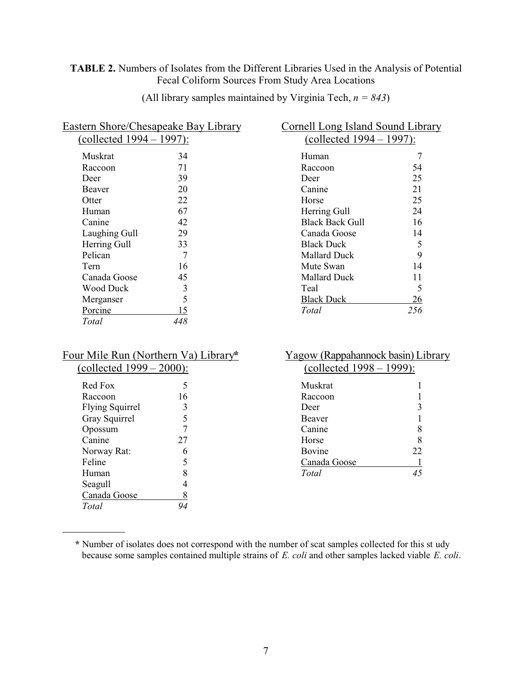## TABLE 2. Numbers of Isolates from the Different Libraries Used in the Analysis of Potential Fecal Coliform Sources From Study Area Locations

|                             | <b>Eastern Shore/Chesapeake Bay Library</b> |  |  |  |  |  |
|-----------------------------|---------------------------------------------|--|--|--|--|--|
| (collected $1994 - 1997$ ): |                                             |  |  |  |  |  |
| Muskrat                     | 34                                          |  |  |  |  |  |
| Raccoon                     | 71                                          |  |  |  |  |  |
| Deer                        | 39                                          |  |  |  |  |  |
| Beaver                      | 20                                          |  |  |  |  |  |
| Otter                       | 22                                          |  |  |  |  |  |
| Human                       | 67                                          |  |  |  |  |  |
| Canine                      | 42                                          |  |  |  |  |  |
| Laughing Gull               | 29                                          |  |  |  |  |  |
| <b>Herring Gull</b>         | 33                                          |  |  |  |  |  |
| Pelican                     | 7                                           |  |  |  |  |  |
| Tern                        | 16                                          |  |  |  |  |  |
| Canada Goose                | 45                                          |  |  |  |  |  |
| Wood Duck                   | 3                                           |  |  |  |  |  |
| Merganser                   | 5                                           |  |  |  |  |  |
| Porcine                     | 15                                          |  |  |  |  |  |
| Total                       |                                             |  |  |  |  |  |
|                             |                                             |  |  |  |  |  |

(All library samples maintained by Virginia Tech,  $n = 843$ )

| <b>Cornell Long Island Sound Library</b>                       |     |  |  |  |  |  |  |
|----------------------------------------------------------------|-----|--|--|--|--|--|--|
| $\frac{\text{collected } 1994 - 1997}{\text{collected } 1997}$ |     |  |  |  |  |  |  |
| Human                                                          | 7   |  |  |  |  |  |  |
| Raccoon                                                        | 54  |  |  |  |  |  |  |
| Deer                                                           | 25  |  |  |  |  |  |  |
| Canine                                                         | 21  |  |  |  |  |  |  |
| Horse                                                          | 25  |  |  |  |  |  |  |
| Herring Gull                                                   | 24  |  |  |  |  |  |  |
| <b>Black Back Gull</b>                                         | 16  |  |  |  |  |  |  |
| Canada Goose                                                   | 14  |  |  |  |  |  |  |
| <b>Black Duck</b>                                              | 5   |  |  |  |  |  |  |
| Mallard Duck                                                   | 9   |  |  |  |  |  |  |
| Mute Swan                                                      | 14  |  |  |  |  |  |  |
| Mallard Duck                                                   | 11  |  |  |  |  |  |  |
| Teal                                                           | 5   |  |  |  |  |  |  |
| Black Duck                                                     | 26  |  |  |  |  |  |  |
| Total                                                          | 256 |  |  |  |  |  |  |

| Four Mile Run (Northern Va) Library* |    |  |  |  |  |  |
|--------------------------------------|----|--|--|--|--|--|
| (collected $1999 - 2000$ ):          |    |  |  |  |  |  |
| Red Fox                              | 5  |  |  |  |  |  |
| Raccoon                              | 16 |  |  |  |  |  |
| <b>Flying Squirrel</b>               | 3  |  |  |  |  |  |
| Gray Squirrel                        | 5  |  |  |  |  |  |
| Opossum                              |    |  |  |  |  |  |
| Canine                               | 27 |  |  |  |  |  |
| Norway Rat:                          | 6  |  |  |  |  |  |
| Feline                               | 5  |  |  |  |  |  |
| Human                                | 8  |  |  |  |  |  |
| Seagull                              |    |  |  |  |  |  |
| Canada Goose                         |    |  |  |  |  |  |

Total

94

## Yagow (Rappahannock basin) Library  $\overline{(collected 1998 - 1999)}$

| Muskrat      |    |
|--------------|----|
| Raccoon      | 1  |
| Deer         | 3  |
| Beaver       | 1  |
| Canine       | 8  |
| Horse        | 8  |
| Bovine       | 22 |
| Canada Goose |    |
| Total        |    |
|              |    |

<sup>\*</sup> Number of isolates does not correspond with the number of scat samples collected for this st udy because some samples contained multiple strains of E. coli and other samples lacked viable E. coli.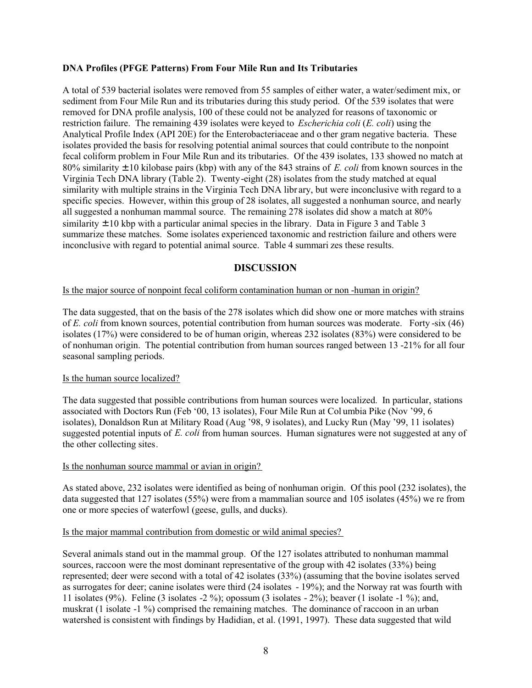#### **DNA Profiles (PFGE Patterns) From Four Mile Run and Its Tributaries**

A total of 539 bacterial isolates were removed from 55 samples of either water, a water/sediment mix, or sediment from Four Mile Run and its tributaries during this study period. Of the 539 isolates that were removed for DNA profile analysis, 100 of these could not be analyzed for reasons of taxonomic or restriction failure. The remaining 439 isolates were keyed to *Escherichia coli* (*E. coli*) using the Analytical Profile Index (API 20E) for the Enterobacteriaceae and o ther gram negative bacteria. These isolates provided the basis for resolving potential animal sources that could contribute to the nonpoint fecal coliform problem in Four Mile Run and its tributaries. Of the 439 isolates, 133 showed no match at 80% similarity  $\pm$  10 kilobase pairs (kbp) with any of the 843 strains of E. coli from known sources in the Virginia Tech DNA library (Table 2). Twenty-eight (28) isolates from the study matched at equal similarity with multiple strains in the Virginia Tech DNA library, but were inconclusive with regard to a specific species. However, within this group of 28 isolates, all suggested a nonhuman source, and nearly all suggested a nonhuman mammal source. The remaining 278 isolates did show a match at 80% similarity  $\pm$  10 kbp with a particular animal species in the library. Data in Figure 3 and Table 3 summarize these matches. Some isolates experienced taxonomic and restriction failure and others were inconclusive with regard to potential animal source. Table 4 summari zes these results.

### **DISCUSSION**

#### Is the major source of nonpoint fecal coliform contamination human or non-human in origin?

The data suggested, that on the basis of the 278 isolates which did show one or more matches with strains of E. coli from known sources, potential contribution from human sources was moderate. Forty-six (46) isolates (17%) were considered to be of human origin, whereas 232 isolates (83%) were considered to be of nonhuman origin. The potential contribution from human sources ranged between 13 -21% for all four seasonal sampling periods.

#### Is the human source localized?

The data suggested that possible contributions from human sources were localized. In particular, stations associated with Doctors Run (Feb '00, 13 isolates), Four Mile Run at Columbia Pike (Nov '99, 6 isolates), Donaldson Run at Military Road (Aug '98, 9 isolates), and Lucky Run (May '99, 11 isolates) suggested potential inputs of E. coli from human sources. Human signatures were not suggested at any of the other collecting sites.

#### Is the nonhuman source mammal or avian in origin?

As stated above, 232 isolates were identified as being of nonhuman origin. Of this pool (232 isolates), the data suggested that 127 isolates (55%) were from a mammalian source and 105 isolates (45%) we re from one or more species of waterfowl (geese, gulls, and ducks).

#### Is the major mammal contribution from domestic or wild animal species?

Several animals stand out in the mammal group. Of the 127 isolates attributed to nonhuman mammal sources, raccoon were the most dominant representative of the group with 42 isolates (33%) being represented; deer were second with a total of 42 isolates (33%) (assuming that the bovine isolates served as surrogates for deer; canine isolates were third  $(24 \text{ isolates} - 19\%)$ ; and the Norway rat was fourth with 11 isolates (9%). Feline (3 isolates -2 %); opossum (3 isolates - 2%); beaver (1 isolate -1 %); and, muskrat (1 isolate -1 %) comprised the remaining matches. The dominance of raccoon in an urban watershed is consistent with findings by Hadidian, et al. (1991, 1997). These data suggested that wild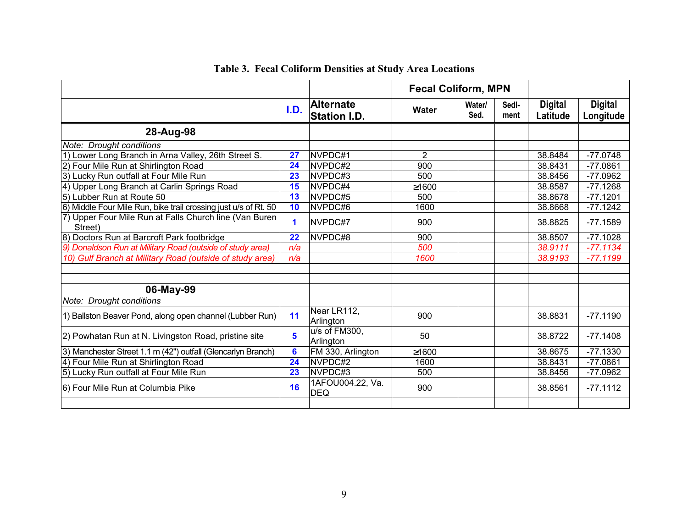|                                                                   |                 | <b>Fecal Coliform, MPN</b>              |             |                |               |                            |                             |
|-------------------------------------------------------------------|-----------------|-----------------------------------------|-------------|----------------|---------------|----------------------------|-----------------------------|
|                                                                   | I.D.            | <b>Alternate</b><br><b>Station I.D.</b> | Water       | Water/<br>Sed. | Sedi-<br>ment | <b>Digital</b><br>Latitude | <b>Digital</b><br>Longitude |
| 28-Aug-98                                                         |                 |                                         |             |                |               |                            |                             |
| Note: Drought conditions                                          |                 |                                         |             |                |               |                            |                             |
| 1) Lower Long Branch in Arna Valley, 26th Street S.               | 27              | NVPDC#1                                 | 2           |                |               | 38.8484                    | $-77.0748$                  |
| 2) Four Mile Run at Shirlington Road                              | 24              | NVPDC#2                                 | 900         |                |               | 38.8431                    | $-77.0861$                  |
| 3) Lucky Run outfall at Four Mile Run                             | 23              | NVPDC#3                                 | 500         |                |               | 38.8456                    | $-77.0962$                  |
| 4) Upper Long Branch at Carlin Springs Road                       | 15              | NVPDC#4                                 | ≥1600       |                |               | 38.8587                    | $-77.1268$                  |
| 5) Lubber Run at Route 50                                         | 13              | NVPDC#5                                 | 500         |                |               | 38.8678                    | $-77.1201$                  |
| 6) Middle Four Mile Run, bike trail crossing just u/s of Rt. 50   | 10              | NVPDC#6                                 | 1600        |                |               | 38.8668                    | $-77.1242$                  |
| 7) Upper Four Mile Run at Falls Church line (Van Buren<br>Street) | 1               | NVPDC#7                                 | 900         |                |               | 38.8825                    | $-77.1589$                  |
| 8) Doctors Run at Barcroft Park footbridge                        | 22              | NVPDC#8                                 | 900         |                |               | 38.8507                    | $-77.1028$                  |
| 9) Donaldson Run at Military Road (outside of study area)         | n/a             |                                         | 500         |                |               | 38.9111                    | $-77.1134$                  |
| 10) Gulf Branch at Military Road (outside of study area)          | n/a             |                                         | 1600        |                |               | 38.9193                    | $-77.1199$                  |
|                                                                   |                 |                                         |             |                |               |                            |                             |
| 06-May-99                                                         |                 |                                         |             |                |               |                            |                             |
| Note: Drought conditions                                          |                 |                                         |             |                |               |                            |                             |
| 1) Ballston Beaver Pond, along open channel (Lubber Run)          | 11              | Near LR112,<br>Arlington                | 900         |                |               | 38.8831                    | $-77.1190$                  |
| 2) Powhatan Run at N. Livingston Road, pristine site              | $5\phantom{1}$  | u/s of FM300.<br>Arlington              | 50          |                |               | 38.8722                    | $-77.1408$                  |
| 3) Manchester Street 1.1 m (42") outfall (Glencarlyn Branch)      | $6\phantom{1}6$ | FM 330, Arlington                       | $\geq 1600$ |                |               | 38.8675                    | $-77.1330$                  |
| 4) Four Mile Run at Shirlington Road                              | 24              | NVPDC#2                                 | 1600        |                |               | 38.8431                    | $-77.0861$                  |
| 5) Lucky Run outfall at Four Mile Run                             | 23              | NVPDC#3                                 | 500         |                |               | 38.8456                    | -77.0962                    |
| 6) Four Mile Run at Columbia Pike                                 | 16              | 1AFOU004.22, Va.<br><b>DEQ</b>          | 900         |                |               | 38.8561                    | $-77.1112$                  |
|                                                                   |                 |                                         |             |                |               |                            |                             |

# Table 3. Fecal Coliform Densities at Study Area Locations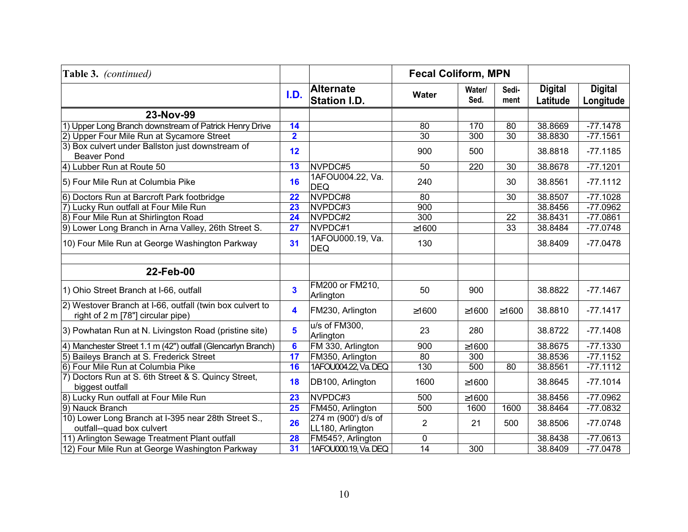| Table 3. (continued)                                                                          |                         |                                         | <b>Fecal Coliform, MPN</b> |                |               |                            |                             |
|-----------------------------------------------------------------------------------------------|-------------------------|-----------------------------------------|----------------------------|----------------|---------------|----------------------------|-----------------------------|
|                                                                                               | I.D.                    | <b>Alternate</b><br><b>Station I.D.</b> | <b>Water</b>               | Water/<br>Sed. | Sedi-<br>ment | <b>Digital</b><br>Latitude | <b>Digital</b><br>Longitude |
| 23-Nov-99                                                                                     |                         |                                         |                            |                |               |                            |                             |
| 1) Upper Long Branch downstream of Patrick Henry Drive                                        | 14                      |                                         | 80                         | 170            | 80            | 38.8669                    | $-77.1478$                  |
| 2) Upper Four Mile Run at Sycamore Street                                                     | $\overline{\mathbf{2}}$ |                                         | 30                         | 300            | 30            | 38.8830                    | $-77.1561$                  |
| 3) Box culvert under Ballston just downstream of<br><b>Beaver Pond</b>                        | 12                      |                                         | 900                        | 500            |               | 38.8818                    | $-77.1185$                  |
| 4) Lubber Run at Route 50                                                                     | 13                      | NVPDC#5                                 | 50                         | 220            | 30            | 38.8678                    | $-77.1201$                  |
| 5) Four Mile Run at Columbia Pike                                                             | 16                      | 1AFOU004.22, Va.<br><b>DEQ</b>          | 240                        |                | 30            | 38.8561                    | $-77.1112$                  |
| 6) Doctors Run at Barcroft Park footbridge                                                    | 22                      | NVPDC#8                                 | 80                         |                | 30            | 38.8507                    | $-77.1028$                  |
| 7) Lucky Run outfall at Four Mile Run                                                         | 23                      | NVPDC#3                                 | 900                        |                |               | 38.8456                    | $-77.0962$                  |
| 8) Four Mile Run at Shirlington Road                                                          | 24                      | NVPDC#2                                 | 300                        |                | 22            | 38.8431                    | $-77.0861$                  |
| 9) Lower Long Branch in Arna Valley, 26th Street S.                                           | 27                      | NVPDC#1                                 | ≥1600                      |                | 33            | 38.8484                    | $-77.0748$                  |
| 10) Four Mile Run at George Washington Parkway                                                | 31                      | 1AFOU000.19, Va.<br><b>DEQ</b>          | 130                        |                |               | 38.8409                    | $-77.0478$                  |
| 22-Feb-00                                                                                     |                         |                                         |                            |                |               |                            |                             |
| 1) Ohio Street Branch at I-66, outfall                                                        | $\mathbf{3}$            | FM200 or FM210,<br>Arlington            | 50                         | 900            |               | 38.8822                    | $-77.1467$                  |
| 2) Westover Branch at I-66, outfall (twin box culvert to<br>right of 2 m [78"] circular pipe) | 4                       | FM230, Arlington                        | ≥1600                      | ≥1600          | $\geq$ 1600   | 38.8810                    | $-77.1417$                  |
| 3) Powhatan Run at N. Livingston Road (pristine site)                                         | 5                       | u/s of FM300,<br>Arlington              | 23                         | 280            |               | 38.8722                    | $-77.1408$                  |
| 4) Manchester Street 1.1 m (42") outfall (Glencarlyn Branch)                                  | $6\phantom{a}$          | FM 330, Arlington                       | 900                        | ≥1600          |               | 38.8675                    | $-77.1330$                  |
| 5) Baileys Branch at S. Frederick Street                                                      | $\overline{17}$         | FM350, Arlington                        | 80                         | 300            |               | 38.8536                    | $-77.1152$                  |
| 6) Four Mile Run at Columbia Pike                                                             | 16                      | 1AFOU004.22, Va. DEQ                    | 130                        | 500            | 80            | 38.8561                    | $-77.1112$                  |
| 7) Doctors Run at S. 6th Street & S. Quincy Street,<br>biggest outfall                        | 18                      | DB100, Arlington                        | 1600                       | ≥1600          |               | 38.8645                    | $-77.1014$                  |
| 8) Lucky Run outfall at Four Mile Run                                                         | 23                      | NVPDC#3                                 | 500                        | ≥1600          |               | 38.8456                    | $-77.0962$                  |
| 9) Nauck Branch                                                                               | 25                      | FM450, Arlington                        | 500                        | 1600           | 1600          | 38.8464                    | $-77.0832$                  |
| 10) Lower Long Branch at I-395 near 28th Street S.,<br>outfall--quad box culvert              | 26                      | 274 m (900') d/s of<br>LL180, Arlington | 2                          | 21             | 500           | 38.8506                    | $-77.0748$                  |
| 11) Arlington Sewage Treatment Plant outfall                                                  | 28                      | FM545?, Arlington                       | 0                          |                |               | 38.8438                    | $-77.0613$                  |
| 12) Four Mile Run at George Washington Parkway                                                | 31                      | 1AFOU000.19, Va. DEQ                    | $\overline{14}$            | 300            |               | 38.8409                    | $-77.0478$                  |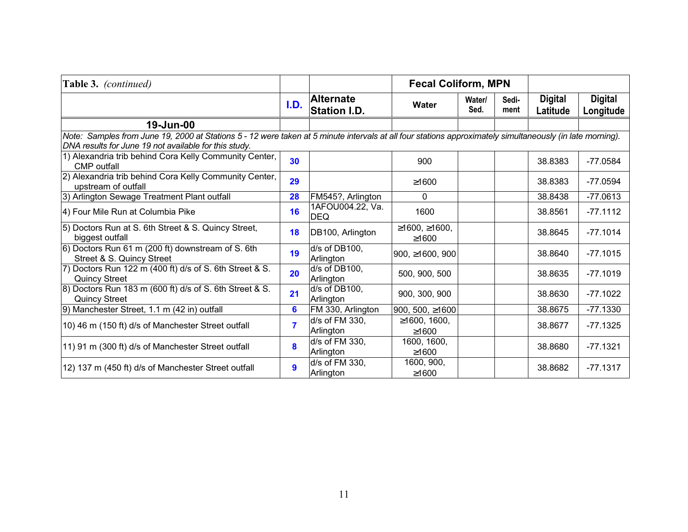| Table 3. (continued)                                                                                                                                                                                               |      | <b>Fecal Coliform, MPN</b>              |                              |                |               |                            |                             |
|--------------------------------------------------------------------------------------------------------------------------------------------------------------------------------------------------------------------|------|-----------------------------------------|------------------------------|----------------|---------------|----------------------------|-----------------------------|
|                                                                                                                                                                                                                    | I.D. | <b>Alternate</b><br><b>Station I.D.</b> | <b>Water</b>                 | Water/<br>Sed. | Sedi-<br>ment | <b>Digital</b><br>Latitude | <b>Digital</b><br>Longitude |
| 19-Jun-00                                                                                                                                                                                                          |      |                                         |                              |                |               |                            |                             |
| Note: Samples from June 19, 2000 at Stations 5 - 12 were taken at 5 minute intervals at all four stations approximately simultaneously (in late morning).<br>DNA results for June 19 not available for this study. |      |                                         |                              |                |               |                            |                             |
| 1) Alexandria trib behind Cora Kelly Community Center,<br><b>CMP</b> outfall                                                                                                                                       | 30   |                                         | 900                          |                |               | 38.8383                    | $-77.0584$                  |
| 2) Alexandria trib behind Cora Kelly Community Center,<br>upstream of outfall                                                                                                                                      | 29   |                                         | ≥1600                        |                |               | 38.8383                    | $-77.0594$                  |
| 3) Arlington Sewage Treatment Plant outfall                                                                                                                                                                        | 28   | FM545?, Arlington                       | 0                            |                |               | 38.8438                    | $-77.0613$                  |
| 4) Four Mile Run at Columbia Pike                                                                                                                                                                                  | 16   | 1AFOU004.22, Va.<br><b>DEQ</b>          | 1600                         |                |               | 38.8561                    | $-77.1112$                  |
| 5) Doctors Run at S. 6th Street & S. Quincy Street,<br>biggest outfall                                                                                                                                             | 18   | DB100, Arlington                        | ≥1600, ≥1600,<br>$\geq 1600$ |                |               | 38.8645                    | $-77.1014$                  |
| 6) Doctors Run 61 m (200 ft) downstream of S. 6th<br>Street & S. Quincy Street                                                                                                                                     | 19   | d/s of DB100,<br>Arlington              | 900, $\geq$ 1600, 900        |                |               | 38.8640                    | $-77.1015$                  |
| 7) Doctors Run 122 m (400 ft) d/s of S. 6th Street & S.<br><b>Quincy Street</b>                                                                                                                                    | 20   | $d/s$ of DB100.<br>Arlington            | 500, 900, 500                |                |               | 38.8635                    | $-77.1019$                  |
| 8) Doctors Run 183 m (600 ft) d/s of S. 6th Street & S.<br><b>Quincy Street</b>                                                                                                                                    | 21   | d/s of DB100,<br>Arlington              | 900, 300, 900                |                |               | 38.8630                    | $-77.1022$                  |
| 9) Manchester Street, 1.1 m (42 in) outfall                                                                                                                                                                        | 6    | FM 330, Arlington                       | 900, 500, $\geq 1600$        |                |               | 38.8675                    | $-77.1330$                  |
| 10) 46 m (150 ft) d/s of Manchester Street outfall                                                                                                                                                                 | 7    | d/s of FM 330,<br>Arlington             | ≥1600, 1600,<br>≥1600        |                |               | 38.8677                    | $-77.1325$                  |
| 11) 91 m (300 ft) d/s of Manchester Street outfall                                                                                                                                                                 | 8    | d/s of FM 330,<br>Arlington             | 1600, 1600,<br>≥1600         |                |               | 38.8680                    | $-77.1321$                  |
| 12) 137 m (450 ft) d/s of Manchester Street outfall                                                                                                                                                                | 9    | d/s of FM 330,<br>Arlington             | 1600, 900,<br>≥1600          |                |               | 38.8682                    | $-77.1317$                  |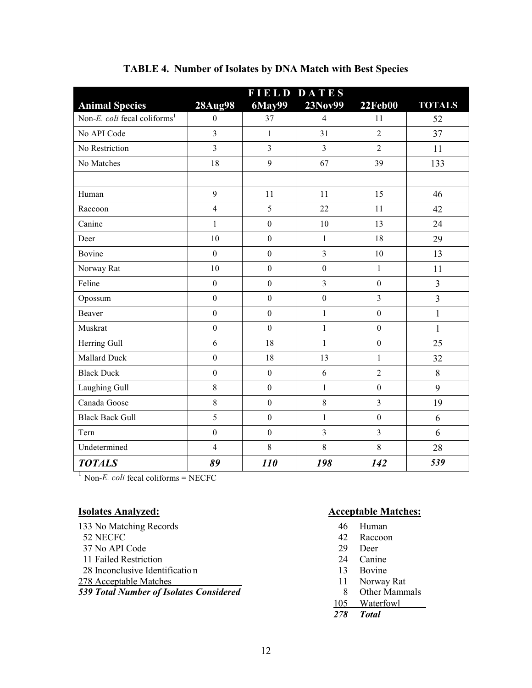|                                          |                  | <b>FIELD DATES</b> |                  |                  |                |
|------------------------------------------|------------------|--------------------|------------------|------------------|----------------|
| <b>Animal Species</b>                    | <b>28Aug98</b>   | 6May99             | 23Nov99          | <b>22Feb00</b>   | <b>TOTALS</b>  |
| Non-E. coli fecal coliforms <sup>1</sup> | $\boldsymbol{0}$ | 37                 | $\overline{4}$   | 11               | 52             |
| No API Code                              | 3                | $\mathbf{1}$       | 31               | $\overline{2}$   | 37             |
| No Restriction                           | $\overline{3}$   | $\overline{3}$     | $\overline{3}$   | $\overline{2}$   | 11             |
| No Matches                               | 18               | 9                  | 67               | 39               | 133            |
|                                          |                  |                    |                  |                  |                |
| Human                                    | 9                | 11                 | 11               | 15               | 46             |
| Raccoon                                  | $\overline{4}$   | 5                  | 22               | 11               | 42             |
| Canine                                   | 1                | $\mathbf{0}$       | 10               | 13               | 24             |
| Deer                                     | 10               | $\mathbf{0}$       | $\mathbf{1}$     | 18               | 29             |
| Bovine                                   | $\overline{0}$   | $\mathbf{0}$       | $\overline{3}$   | 10               | 13             |
| Norway Rat                               | 10               | $\boldsymbol{0}$   | $\boldsymbol{0}$ | $\mathbf{1}$     | 11             |
| Feline                                   | $\boldsymbol{0}$ | $\boldsymbol{0}$   | $\overline{3}$   | $\boldsymbol{0}$ | $\overline{3}$ |
| Opossum                                  | $\boldsymbol{0}$ | $\boldsymbol{0}$   | $\boldsymbol{0}$ | $\overline{3}$   | 3              |
| Beaver                                   | $\boldsymbol{0}$ | $\mathbf{0}$       | $\mathbf{1}$     | $\mathbf{0}$     | $\mathbf{1}$   |
| Muskrat                                  | $\boldsymbol{0}$ | $\mathbf{0}$       | $\mathbf{1}$     | $\mathbf{0}$     | $\mathbf{1}$   |
| Herring Gull                             | 6                | 18                 | $\mathbf{1}$     | $\boldsymbol{0}$ | 25             |
| Mallard Duck                             | $\boldsymbol{0}$ | 18                 | 13               | $\mathbf{1}$     | 32             |
| <b>Black Duck</b>                        | $\mathbf{0}$     | $\boldsymbol{0}$   | 6                | $\overline{2}$   | 8              |
| Laughing Gull                            | 8                | $\boldsymbol{0}$   | $\mathbf{1}$     | $\mathbf{0}$     | 9              |
| Canada Goose                             | $\,8\,$          | $\boldsymbol{0}$   | 8                | 3                | 19             |
| <b>Black Back Gull</b>                   | 5                | $\boldsymbol{0}$   | $\mathbf{1}$     | $\boldsymbol{0}$ | 6              |
| Tern                                     | $\boldsymbol{0}$ | $\boldsymbol{0}$   | $\overline{3}$   | $\overline{3}$   | 6              |
| Undetermined                             | $\overline{4}$   | 8                  | 8                | 8                | 28             |
| <b>TOTALS</b>                            | 89               | <b>110</b>         | 198              | 142              | 539            |

## TABLE 4. Number of Isolates by DNA Match with Best Species

 $\frac{1}{1}$  Non-*E. coli* fecal coliforms = NECFC

## **Isolates Analyzed:**

| 133 No Matching Records                        |
|------------------------------------------------|
| 52 NECFC                                       |
| 37 No API Code                                 |
| 11 Failed Restriction                          |
| 28 Inconclusive Identification                 |
| 278 Acceptable Matches                         |
| <b>539 Total Number of Isolates Considered</b> |
|                                                |

## **Acceptable Matches:**

- 46 Human
- 42 Raccoon
- 29 Deer
- 24 Canine
- 13 Bovine
- 11 Norway Rat
- 8 Other Mammals
- 105 Waterfowl
- 278 Total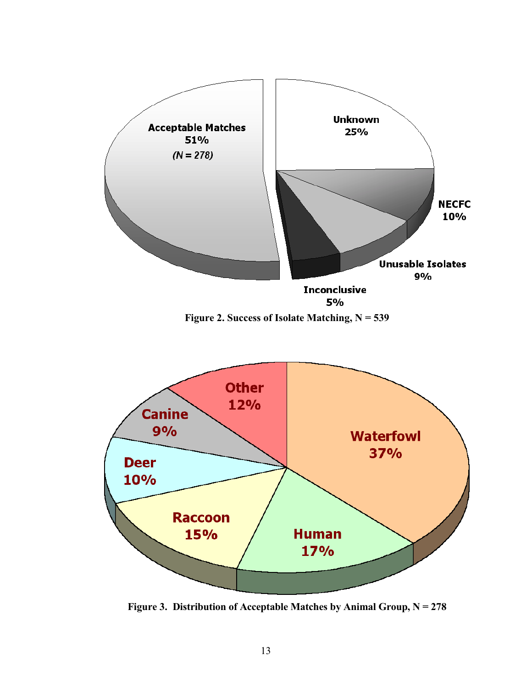

Figure 3. Distribution of Acceptable Matches by Animal Group,  $N = 278$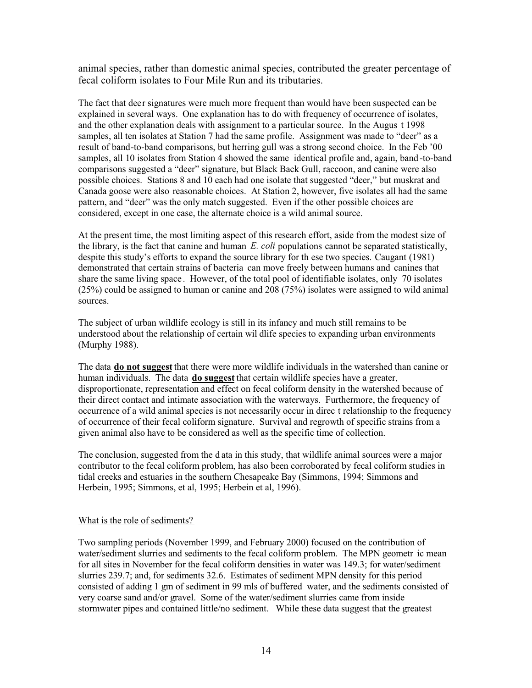animal species, rather than domestic animal species, contributed the greater percentage of fecal coliform isolates to Four Mile Run and its tributaries.

The fact that deer signatures were much more frequent than would have been suspected can be explained in several ways. One explanation has to do with frequency of occurrence of isolates, and the other explanation deals with assignment to a particular source. In the Augus t 1998 samples, all ten isolates at Station 7 had the same profile. Assignment was made to "deer" as a result of band-to-band comparisons, but herring gull was a strong second choice. In the Feb '00 samples, all 10 isolates from Station 4 showed the same identical profile and, again, band-to-band comparisons suggested a "deer" signature, but Black Back Gull, raccoon, and canine were also possible choices. Stations 8 and 10 each had one isolate that suggested "deer," but muskrat and Canada goose were also reasonable choices. At Station 2, however, five isolates all had the same pattern, and "deer" was the only match suggested. Even if the other possible choices are considered, except in one case, the alternate choice is a wild animal source.

At the present time, the most limiting aspect of this research effort, aside from the modest size of the library, is the fact that canine and human  $E$ , coli populations cannot be separated statistically, despite this study's efforts to expand the source library for these two species. Caugant (1981) demonstrated that certain strains of bacteria can move freely between humans and canines that share the same living space. However, of the total pool of identifiable isolates, only 70 isolates  $(25%)$  could be assigned to human or canine and 208 (75%) isolates were assigned to wild animal sources.

The subject of urban wildlife ecology is still in its infancy and much still remains to be understood about the relationship of certain wil dlife species to expanding urban environments (Murphy 1988).

The data **do not suggest** that there were more wildlife individuals in the watershed than canine or human individuals. The data **do suggest** that certain wildlife species have a greater, disproportionate, representation and effect on fecal coliform density in the watershed because of their direct contact and intimate association with the waterways. Furthermore, the frequency of occurrence of a wild animal species is not necessarily occur in direc t relationship to the frequency of occurrence of their fecal coliform signature. Survival and regrowth of specific strains from a given animal also have to be considered as well as the specific time of collection.

The conclusion, suggested from the data in this study, that wildlife animal sources were a major contributor to the fecal coliform problem, has also been corroborated by fecal coliform studies in tidal creeks and estuaries in the southern Chesapeake Bay (Simmons, 1994; Simmons and Herbein, 1995; Simmons, et al, 1995; Herbein et al, 1996).

#### What is the role of sediments?

Two sampling periods (November 1999, and February 2000) focused on the contribution of water/sediment slurries and sediments to the fecal coliform problem. The MPN geometr ic mean for all sites in November for the fecal coliform densities in water was 149.3; for water/sediment slurries 239.7; and, for sediments 32.6. Estimates of sediment MPN density for this period consisted of adding 1 gm of sediment in 99 mls of buffered water, and the sediments consisted of very coarse sand and/or gravel. Some of the water/sediment slurries came from inside stormwater pipes and contained little/no sediment. While these data suggest that the greatest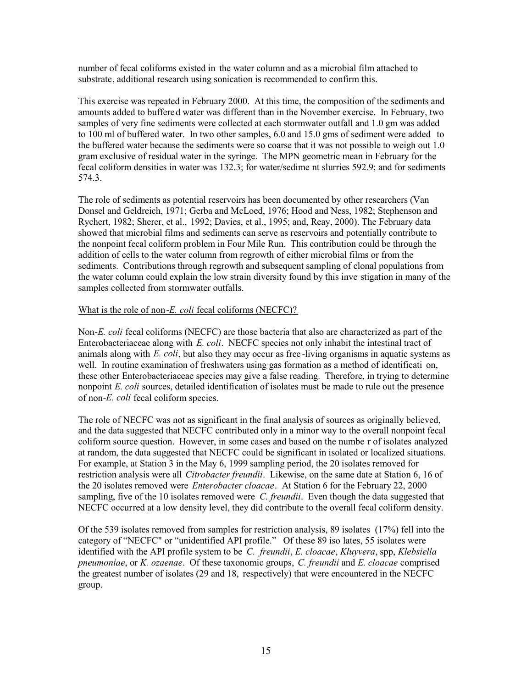number of fecal coliforms existed in the water column and as a microbial film attached to substrate, additional research using sonication is recommended to confirm this.

This exercise was repeated in February 2000. At this time, the composition of the sediments and amounts added to buffered water was different than in the November exercise. In February, two samples of very fine sediments were collected at each stormwater outfall and 1.0 gm was added to 100 ml of buffered water. In two other samples, 6.0 and 15.0 gms of sediment were added to the buffered water because the sediments were so coarse that it was not possible to weigh out 1.0 gram exclusive of residual water in the syringe. The MPN geometric mean in February for the fecal coliform densities in water was 132.3; for water/sedime nt slurries 592.9; and for sediments 574.3.

The role of sediments as potential reservoirs has been documented by other researchers (Van Donsel and Geldreich, 1971; Gerba and McLoed, 1976; Hood and Ness, 1982; Stephenson and Rychert, 1982; Sherer, et al., 1992; Davies, et al., 1995; and, Reay, 2000). The February data showed that microbial films and sediments can serve as reservoirs and potentially contribute to the nonpoint fecal coliform problem in Four Mile Run. This contribution could be through the addition of cells to the water column from regrowth of either microbial films or from the sediments. Contributions through regrowth and subsequent sampling of clonal populations from the water column could explain the low strain diversity found by this inve stigation in many of the samples collected from stormwater outfalls.

#### What is the role of non-E. coli fecal coliforms (NECFC)?

Non-E. coli fecal coliforms (NECFC) are those bacteria that also are characterized as part of the Enterobacteriaceae along with E. coli. NECFC species not only inhabit the intestinal tract of animals along with E. coli, but also they may occur as free-living organisms in aquatic systems as well. In routine examination of freshwaters using gas formation as a method of identificati on. these other Enterobacteriaceae species may give a false reading. Therefore, in trying to determine nonpoint E. coli sources, detailed identification of isolates must be made to rule out the presence of non-E. coli fecal coliform species.

The role of NECFC was not as significant in the final analysis of sources as originally believed, and the data suggested that NECFC contributed only in a minor way to the overall nonpoint fecal coliform source question. However, in some cases and based on the number of isolates analyzed at random, the data suggested that NECFC could be significant in isolated or localized situations. For example, at Station 3 in the May 6, 1999 sampling period, the 20 isolates removed for restriction analysis were all *Citrobacter freundii*. Likewise, on the same date at Station 6, 16 of the 20 isolates removed were *Enterobacter cloacae*. At Station 6 for the February 22, 2000 sampling, five of the 10 isolates removed were *C. freundii*. Even though the data suggested that NECFC occurred at a low density level, they did contribute to the overall fecal coliform density.

Of the 539 isolates removed from samples for restriction analysis, 89 isolates  $(17%)$  fell into the category of "NECFC" or "unidentified API profile." Of these 89 iso lates, 55 isolates were identified with the API profile system to be C. freundii, E. cloacae, Kluyvera, spp, Klebsiella pneumoniae, or K. ozaenae. Of these taxonomic groups, C. freundii and E. cloacae comprised the greatest number of isolates (29 and 18, respectively) that were encountered in the NECFC group.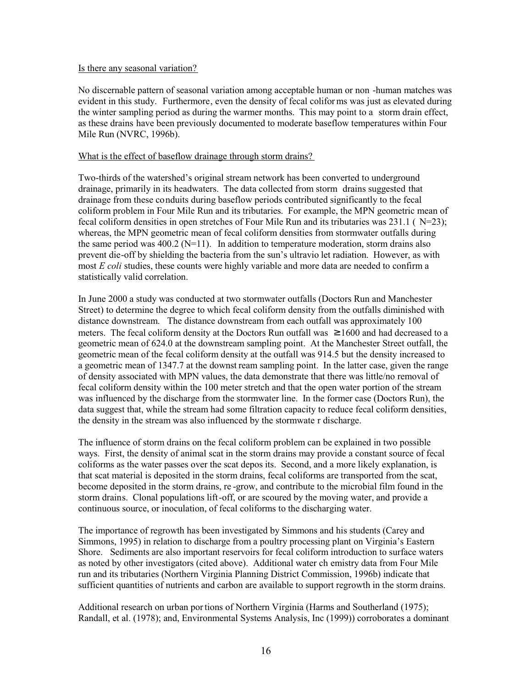#### Is there any seasonal variation?

No discernable pattern of seasonal variation among acceptable human or non -human matches was evident in this study. Furthermore, even the density of fecal coliforms was just as elevated during the winter sampling period as during the warmer months. This may point to a storm drain effect, as these drains have been previously documented to moderate baseflow temperatures within Four Mile Run (NVRC, 1996b).

#### What is the effect of baseflow drainage through storm drains?

Two-thirds of the watershed's original stream network has been converted to underground drainage, primarily in its headwaters. The data collected from storm drains suggested that drainage from these conduits during baseflow periods contributed significantly to the fecal coliform problem in Four Mile Run and its tributaries. For example, the MPN geometric mean of fecal coliform densities in open stretches of Four Mile Run and its tributaries was 231.1 ( $N=23$ ); whereas, the MPN geometric mean of fecal coliform densities from stormwater outfalls during the same period was  $400.2$  (N=11). In addition to temperature moderation, storm drains also prevent die-off by shielding the bacteria from the sun's ultravio let radiation. However, as with most E coli studies, these counts were highly variable and more data are needed to confirm a statistically valid correlation.

In June 2000 a study was conducted at two stormwater outfalls (Doctors Run and Manchester Street) to determine the degree to which fecal coliform density from the outfalls diminished with distance downstream. The distance downstream from each outfall was approximately 100 meters. The fecal coliform density at the Doctors Run outfall was  $\geq 1600$  and had decreased to a geometric mean of 624.0 at the downstream sampling point. At the Manchester Street outfall, the geometric mean of the fecal coliform density at the outfall was 914.5 but the density increased to a geometric mean of 1347.7 at the downst ream sampling point. In the latter case, given the range of density associated with MPN values, the data demonstrate that there was little/no removal of fecal coliform density within the 100 meter stretch and that the open water portion of the stream was influenced by the discharge from the stormwater line. In the former case (Doctors Run), the data suggest that, while the stream had some filtration capacity to reduce fecal coliform densities, the density in the stream was also influenced by the stormwate r discharge.

The influence of storm drains on the fecal coliform problem can be explained in two possible ways. First, the density of animal scat in the storm drains may provide a constant source of fecal coliforms as the water passes over the scat depos its. Second, and a more likely explanation, is that scat material is deposited in the storm drains, fecal coliforms are transported from the scat, become deposited in the storm drains, re-grow, and contribute to the microbial film found in the storm drains. Clonal populations lift-off, or are scoured by the moving water, and provide a continuous source, or inoculation, of fecal coliforms to the discharging water.

The importance of regrowth has been investigated by Simmons and his students (Carey and Simmons, 1995) in relation to discharge from a poultry processing plant on Virginia's Eastern Shore. Sediments are also important reservoirs for fecal coliform introduction to surface waters as noted by other investigators (cited above). Additional water ch emistry data from Four Mile run and its tributaries (Northern Virginia Planning District Commission, 1996b) indicate that sufficient quantities of nutrients and carbon are available to support regrowth in the storm drains.

Additional research on urban portions of Northern Virginia (Harms and Southerland (1975); Randall, et al. (1978); and, Environmental Systems Analysis, Inc (1999)) corroborates a dominant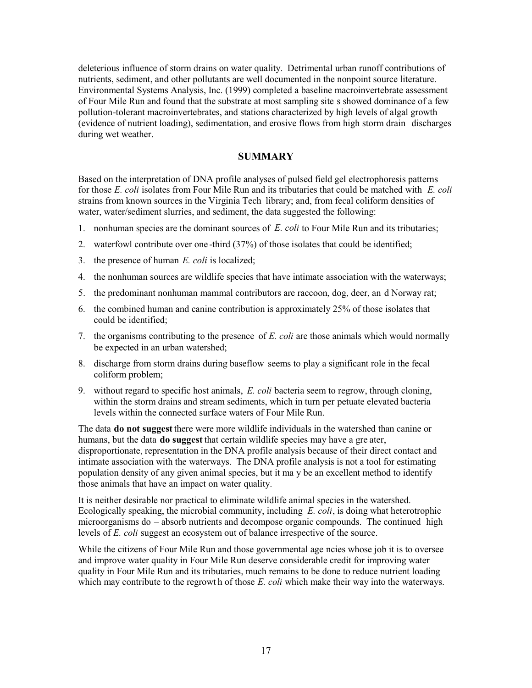deleterious influence of storm drains on water quality. Detrimental urban runoff contributions of nutrients, sediment, and other pollutants are well documented in the nonpoint source literature. Environmental Systems Analysis, Inc. (1999) completed a baseline macroinvertebrate assessment of Four Mile Run and found that the substrate at most sampling site s showed dominance of a few pollution-tolerant macroinvertebrates, and stations characterized by high levels of algal growth (evidence of nutrient loading), sedimentation, and erosive flows from high storm drain discharges during wet weather.

#### **SUMMARY**

Based on the interpretation of DNA profile analyses of pulsed field gel electrophoresis patterns for those E. coli isolates from Four Mile Run and its tributaries that could be matched with E. coli strains from known sources in the Virginia Tech library; and, from fecal coliform densities of water, water/sediment slurries, and sediment, the data suggested the following:

- 1. nonhuman species are the dominant sources of E. coli to Four Mile Run and its tributaries;
- 2. waterfowl contribute over one-third (37%) of those isolates that could be identified;
- 3. the presence of human  $E$ . *coli* is localized;
- 4. the nonhuman sources are wildlife species that have intimate association with the waterways;
- 5. the predominant nonhuman mammal contributors are raccoon, dog, deer, an d Norway rat;
- 6. the combined human and canine contribution is approximately 25% of those isolates that could be identified;
- 7. the organisms contributing to the presence of E. coli are those animals which would normally be expected in an urban watershed;
- 8. discharge from storm drains during baseflow seems to play a significant role in the fecal coliform problem;
- 9. without regard to specific host animals, E. coli bacteria seem to regrow, through cloning, within the storm drains and stream sediments, which in turn per petuate elevated bacteria levels within the connected surface waters of Four Mile Run.

The data **do not suggest** there were more wildlife individuals in the watershed than canine or humans, but the data **do suggest** that certain wildlife species may have a gre ater, disproportionate, representation in the DNA profile analysis because of their direct contact and intimate association with the waterways. The DNA profile analysis is not a tool for estimating population density of any given animal species, but it ma y be an excellent method to identify those animals that have an impact on water quality.

It is neither desirable nor practical to eliminate wildlife animal species in the watershed. Ecologically speaking, the microbial community, including  $E$ . coli, is doing what heterotrophic microorganisms do – absorb nutrients and decompose organic compounds. The continued high levels of E. coli suggest an ecosystem out of balance irrespective of the source.

While the citizens of Four Mile Run and those governmental age ncies whose job it is to oversee and improve water quality in Four Mile Run deserve considerable credit for improving water quality in Four Mile Run and its tributaries, much remains to be done to reduce nutrient loading which may contribute to the regrowth of those E. coli which make their way into the waterways.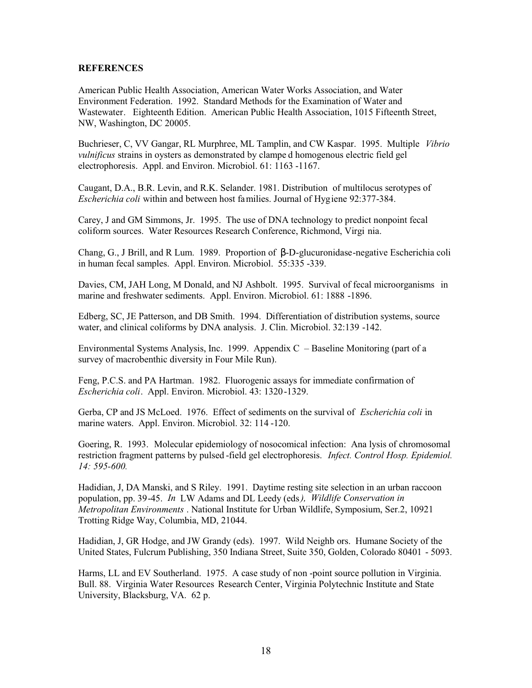#### **REFERENCES**

American Public Health Association, American Water Works Association, and Water Environment Federation. 1992. Standard Methods for the Examination of Water and Wastewater. Eighteenth Edition. American Public Health Association, 1015 Fifteenth Street, NW, Washington, DC 20005.

Buchrieser, C, VV Gangar, RL Murphree, ML Tamplin, and CW Kaspar. 1995. Multiple Vibrio vulnificus strains in oysters as demonstrated by clampe d homogenous electric field gel electrophoresis. Appl. and Environ. Microbiol. 61: 1163 -1167.

Caugant, D.A., B.R. Levin, and R.K. Selander. 1981. Distribution of multilocus serotypes of Escherichia coli within and between host families. Journal of Hygiene 92:377-384.

Carey, J and GM Simmons, Jr. 1995. The use of DNA technology to predict nonpoint fecal coliform sources. Water Resources Research Conference, Richmond, Virgi nia.

Chang, G., J Brill, and R Lum. 1989. Proportion of  $\beta$ -D-glucuronidase-negative Escherichia coli in human fecal samples. Appl. Environ. Microbiol. 55:335 -339.

Davies, CM, JAH Long, M Donald, and NJ Ashbolt. 1995. Survival of fecal microorganisms in marine and freshwater sediments. Appl. Environ. Microbiol. 61: 1888 -1896.

Edberg, SC, JE Patterson, and DB Smith. 1994. Differentiation of distribution systems, source water, and clinical coliforms by DNA analysis. J. Clin. Microbiol. 32:139 -142.

Environmental Systems Analysis, Inc. 1999. Appendix  $C -$ Baseline Monitoring (part of a survey of macrobenthic diversity in Four Mile Run).

Feng, P.C.S. and PA Hartman. 1982. Fluorogenic assays for immediate confirmation of Escherichia coli. Appl. Environ. Microbiol. 43: 1320-1329.

Gerba, CP and JS McLoed. 1976. Effect of sediments on the survival of Escherichia coli in marine waters. Appl. Environ. Microbiol. 32: 114 -120.

Goering, R. 1993. Molecular epidemiology of nosocomical infection: Ana lysis of chromosomal restriction fragment patterns by pulsed-field gel electrophoresis. Infect. Control Hosp. Epidemiol. 14: 595-600.

Hadidian, J, DA Manski, and S Riley. 1991. Daytime resting site selection in an urban raccoon population, pp. 39-45. In LW Adams and DL Leedy (eds), Wildlife Conservation in Metropolitan Environments . National Institute for Urban Wildlife, Symposium, Ser.2, 10921 Trotting Ridge Way, Columbia, MD, 21044.

Hadidian, J, GR Hodge, and JW Grandy (eds). 1997. Wild Neighb ors. Humane Society of the United States, Fulcrum Publishing, 350 Indiana Street, Suite 350, Golden, Colorado 80401 - 5093.

Harms, LL and EV Southerland. 1975. A case study of non-point source pollution in Virginia. Bull. 88. Virginia Water Resources Research Center, Virginia Polytechnic Institute and State University, Blacksburg, VA. 62 p.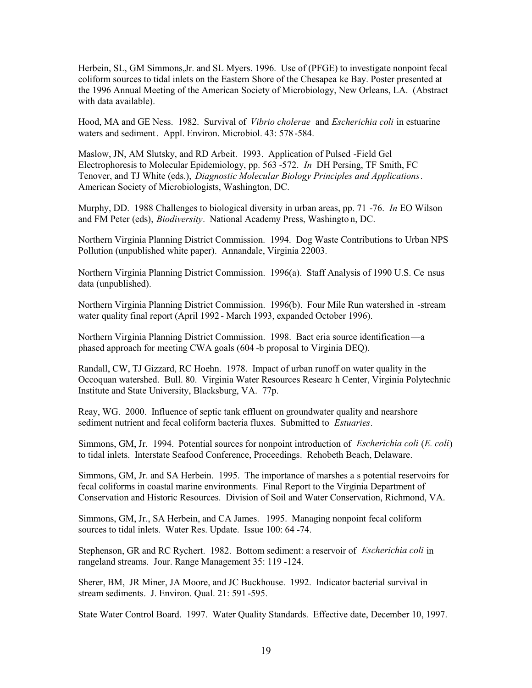Herbein, SL, GM Simmons, Jr. and SL Myers. 1996. Use of (PFGE) to investigate nonpoint fecal coliform sources to tidal inlets on the Eastern Shore of the Chesapea ke Bay. Poster presented at the 1996 Annual Meeting of the American Society of Microbiology, New Orleans, LA. (Abstract with data available).

Hood, MA and GE Ness. 1982. Survival of *Vibrio cholerae* and *Escherichia coli* in estuarine waters and sediment. Appl. Environ. Microbiol. 43: 578-584.

Maslow, JN, AM Slutsky, and RD Arbeit. 1993. Application of Pulsed -Field Gel Electrophoresis to Molecular Epidemiology, pp. 563 -572. In DH Persing, TF Smith, FC Tenover, and TJ White (eds.), Diagnostic Molecular Biology Principles and Applications. American Society of Microbiologists, Washington, DC.

Murphy, DD. 1988 Challenges to biological diversity in urban areas, pp. 71 -76. In EO Wilson and FM Peter (eds), *Biodiversity*. National Academy Press, Washington, DC.

Northern Virginia Planning District Commission. 1994. Dog Waste Contributions to Urban NPS Pollution (unpublished white paper). Annandale, Virginia 22003.

Northern Virginia Planning District Commission. 1996(a). Staff Analysis of 1990 U.S. Ce nsus data (unpublished).

Northern Virginia Planning District Commission. 1996(b). Four Mile Run watershed in -stream water quality final report (April 1992 - March 1993, expanded October 1996).

Northern Virginia Planning District Commission. 1998. Bact eria source identification—a phased approach for meeting CWA goals (604 -b proposal to Virginia DEQ).

Randall, CW, TJ Gizzard, RC Hoehn. 1978. Impact of urban runoff on water quality in the Occoquan watershed. Bull. 80. Virginia Water Resources Researc h Center, Virginia Polytechnic Institute and State University, Blacksburg, VA. 77p.

Reay, WG. 2000. Influence of septic tank effluent on groundwater quality and nearshore sediment nutrient and fecal coliform bacteria fluxes. Submitted to *Estuaries*.

Simmons, GM, Jr. 1994. Potential sources for nonpoint introduction of Escherichia coli (E. coli) to tidal inlets. Interstate Seafood Conference, Proceedings. Rehobeth Beach, Delaware.

Simmons, GM, Jr. and SA Herbein. 1995. The importance of marshes a s potential reservoirs for fecal coliforms in coastal marine environments. Final Report to the Virginia Department of Conservation and Historic Resources. Division of Soil and Water Conservation, Richmond, VA.

Simmons, GM, Jr., SA Herbein, and CA James. 1995. Managing nonpoint fecal coliform sources to tidal inlets. Water Res. Update. Issue 100: 64 -74.

Stephenson, GR and RC Rychert. 1982. Bottom sediment: a reservoir of *Escherichia coli* in rangeland streams. Jour. Range Management 35: 119 -124.

Sherer, BM, JR Miner, JA Moore, and JC Buckhouse. 1992. Indicator bacterial survival in stream sediments. J. Environ. Qual. 21: 591-595.

State Water Control Board. 1997. Water Quality Standards. Effective date, December 10, 1997.